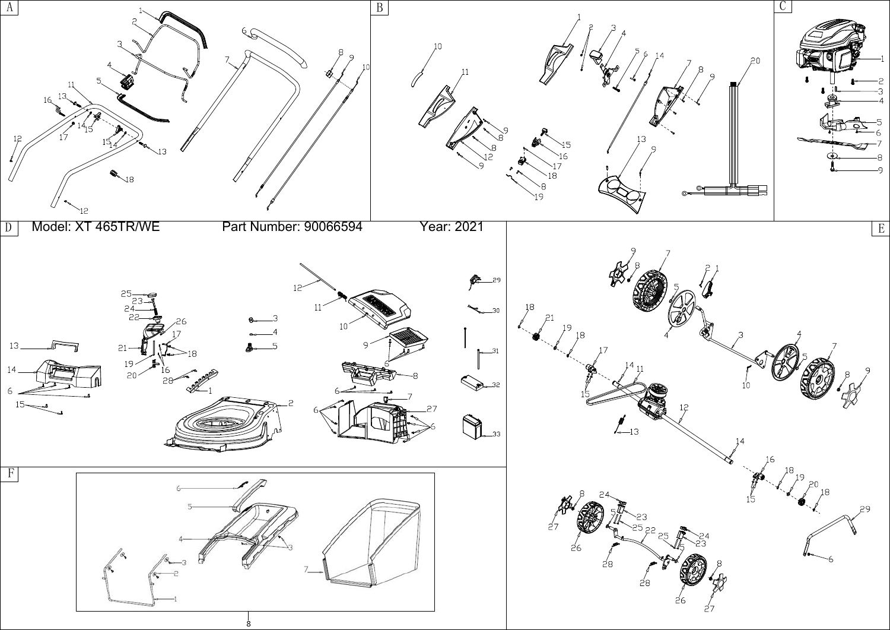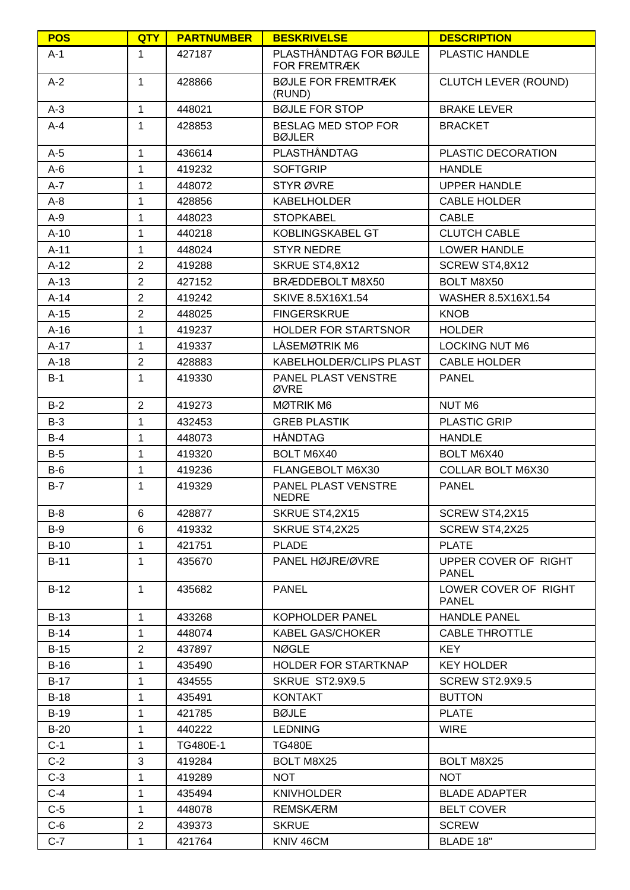| <b>POS</b> | <b>QTY</b>     | <b>PARTNUMBER</b> | <b>BESKRIVELSE</b>                            | <b>DESCRIPTION</b>                   |
|------------|----------------|-------------------|-----------------------------------------------|--------------------------------------|
| A-1        | 1              | 427187            | PLASTHÅNDTAG FOR BØJLE<br><b>FOR FREMTRÆK</b> | <b>PLASTIC HANDLE</b>                |
| $A-2$      | $\mathbf{1}$   | 428866            | <b>BØJLE FOR FREMTRÆK</b><br>(RUND)           | <b>CLUTCH LEVER (ROUND)</b>          |
| $A-3$      | $\mathbf 1$    | 448021            | <b>BØJLE FOR STOP</b>                         | <b>BRAKE LEVER</b>                   |
| $A - 4$    | 1              | 428853            | <b>BESLAG MED STOP FOR</b><br><b>BØJLER</b>   | <b>BRACKET</b>                       |
| $A-5$      | $\mathbf{1}$   | 436614            | PLASTHÅNDTAG                                  | PLASTIC DECORATION                   |
| $A-6$      | $\mathbf{1}$   | 419232            | <b>SOFTGRIP</b>                               | <b>HANDLE</b>                        |
| $A-7$      | $\mathbf 1$    | 448072            | STYR ØVRE                                     | <b>UPPER HANDLE</b>                  |
| $A-8$      | 1              | 428856            | <b>KABELHOLDER</b>                            | <b>CABLE HOLDER</b>                  |
| $A-9$      | 1              | 448023            | <b>STOPKABEL</b>                              | <b>CABLE</b>                         |
| $A-10$     | 1              | 440218            | KOBLINGSKABEL GT                              | <b>CLUTCH CABLE</b>                  |
| $A-11$     | $\mathbf{1}$   | 448024            | <b>STYR NEDRE</b>                             | <b>LOWER HANDLE</b>                  |
| $A-12$     | $\overline{2}$ | 419288            | SKRUE ST4,8X12                                | SCREW ST4,8X12                       |
| $A-13$     | $\overline{2}$ | 427152            | BRÆDDEBOLT M8X50                              | BOLT M8X50                           |
| A-14       | $\overline{2}$ | 419242            | SKIVE 8.5X16X1.54                             | WASHER 8.5X16X1.54                   |
| $A-15$     | $\overline{2}$ | 448025            | <b>FINGERSKRUE</b>                            | <b>KNOB</b>                          |
| $A-16$     | 1              | 419237            | <b>HOLDER FOR STARTSNOR</b>                   | <b>HOLDER</b>                        |
| $A-17$     | 1              | 419337            | LÅSEMØTRIK M6                                 | <b>LOCKING NUT M6</b>                |
| $A-18$     | $\overline{2}$ | 428883            | KABELHOLDER/CLIPS PLAST                       | <b>CABLE HOLDER</b>                  |
| $B-1$      | 1              | 419330            | PANEL PLAST VENSTRE<br>ØVRE                   | <b>PANEL</b>                         |
| $B-2$      | $\overline{2}$ | 419273            | MØTRIK M6                                     | <b>NUT M6</b>                        |
| $B-3$      | 1              | 432453            | <b>GREB PLASTIK</b>                           | PLASTIC GRIP                         |
| $B-4$      | 1              | 448073            | <b>HÅNDTAG</b>                                | <b>HANDLE</b>                        |
| $B-5$      | 1              | 419320            | BOLT M6X40                                    | BOLT M6X40                           |
| B-6        | $\mathbf 1$    | 419236            | FLANGEBOLT M6X30                              | COLLAR BOLT M6X30                    |
| $B-7$      | 1              | 419329            | PANEL PLAST VENSTRE<br><b>NEDRE</b>           | <b>PANEL</b>                         |
| $B-8$      | 6              | 428877            | SKRUE ST4,2X15                                | SCREW ST4,2X15                       |
| $B-9$      | 6              | 419332            | SKRUE ST4,2X25                                | SCREW ST4,2X25                       |
| $B-10$     | $\mathbf{1}$   | 421751            | <b>PLADE</b>                                  | <b>PLATE</b>                         |
| $B-11$     | 1              | 435670            | PANEL HØJRE/ØVRE                              | UPPER COVER OF RIGHT<br><b>PANEL</b> |
| $B-12$     | $\mathbf{1}$   | 435682            | <b>PANEL</b>                                  | LOWER COVER OF RIGHT<br><b>PANEL</b> |
| $B-13$     | $\mathbf{1}$   | 433268            | KOPHOLDER PANEL                               | <b>HANDLE PANEL</b>                  |
| $B-14$     | 1              | 448074            | <b>KABEL GAS/CHOKER</b>                       | <b>CABLE THROTTLE</b>                |
| $B-15$     | $\overline{2}$ | 437897            | <b>NØGLE</b>                                  | <b>KEY</b>                           |
| $B-16$     | 1              | 435490            | <b>HOLDER FOR STARTKNAP</b>                   | <b>KEY HOLDER</b>                    |
| $B-17$     | 1              | 434555            | SKRUE ST2.9X9.5                               | <b>SCREW ST2.9X9.5</b>               |
| $B-18$     | 1              | 435491            | <b>KONTAKT</b>                                | <b>BUTTON</b>                        |
| $B-19$     | 1              | 421785            | <b>BØJLE</b>                                  | <b>PLATE</b>                         |
| $B-20$     | 1              | 440222            | <b>LEDNING</b>                                | <b>WIRE</b>                          |
| $C-1$      | 1              | TG480E-1          | <b>TG480E</b>                                 |                                      |
| $C-2$      | 3              | 419284            | <b>BOLT M8X25</b>                             | <b>BOLT M8X25</b>                    |
| $C-3$      | $\mathbf{1}$   | 419289            | <b>NOT</b>                                    | <b>NOT</b>                           |
| $C-4$      | $\mathbf{1}$   | 435494            | <b>KNIVHOLDER</b>                             | <b>BLADE ADAPTER</b>                 |
| $C-5$      | 1              | 448078            | <b>REMSKÆRM</b>                               | <b>BELT COVER</b>                    |
| $C-6$      | $\overline{2}$ | 439373            | <b>SKRUE</b>                                  | <b>SCREW</b>                         |
| $C-7$      | $\mathbf{1}$   | 421764            | KNIV 46CM                                     | BLADE 18"                            |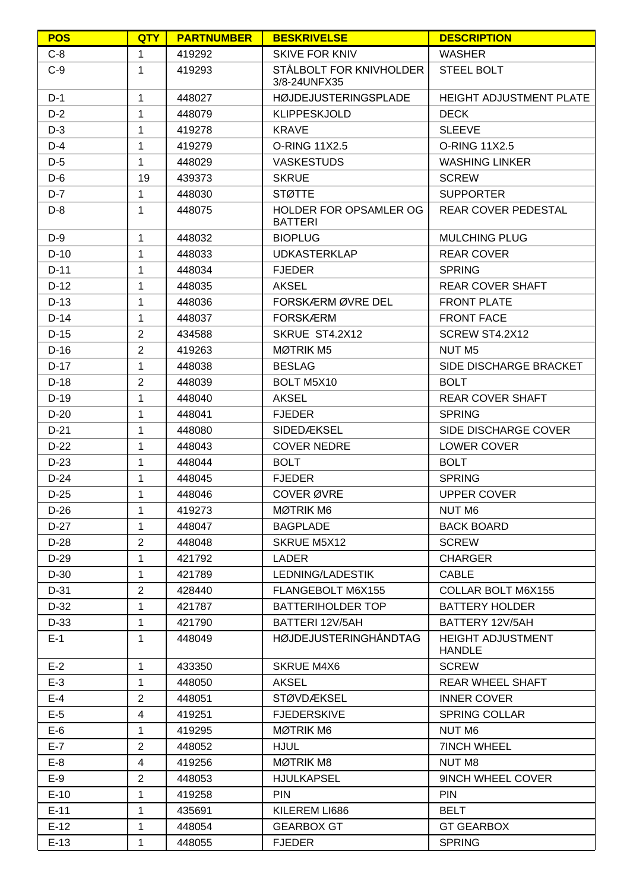| <b>POS</b> | <b>QTY</b>     | <b>PARTNUMBER</b> | <b>BESKRIVELSE</b>                              | <b>DESCRIPTION</b>                        |
|------------|----------------|-------------------|-------------------------------------------------|-------------------------------------------|
| $C-8$      | $\mathbf{1}$   | 419292            | <b>SKIVE FOR KNIV</b>                           | <b>WASHER</b>                             |
| $C-9$      | 1              | 419293            | STÅLBOLT FOR KNIVHOLDER<br>3/8-24UNFX35         | <b>STEEL BOLT</b>                         |
| $D-1$      | $\mathbf{1}$   | 448027            | <b>HØJDEJUSTERINGSPLADE</b>                     | HEIGHT ADJUSTMENT PLATE                   |
| $D-2$      | 1              | 448079            | <b>KLIPPESKJOLD</b>                             | <b>DECK</b>                               |
| $D-3$      | 1              | 419278            | <b>KRAVE</b>                                    | <b>SLEEVE</b>                             |
| $D-4$      | 1              | 419279            | O-RING 11X2.5                                   | O-RING 11X2.5                             |
| D-5        | 1              | 448029            | <b>VASKESTUDS</b>                               | <b>WASHING LINKER</b>                     |
| $D-6$      | 19             | 439373            | <b>SKRUE</b>                                    | <b>SCREW</b>                              |
| $D-7$      | $\mathbf{1}$   | 448030            | <b>STØTTE</b>                                   | <b>SUPPORTER</b>                          |
| D-8        | 1              | 448075            | <b>HOLDER FOR OPSAMLER OG</b><br><b>BATTERI</b> | <b>REAR COVER PEDESTAL</b>                |
| $D-9$      | $\mathbf{1}$   | 448032            | <b>BIOPLUG</b>                                  | <b>MULCHING PLUG</b>                      |
| $D-10$     | $\mathbf{1}$   | 448033            | <b>UDKASTERKLAP</b>                             | <b>REAR COVER</b>                         |
| $D-11$     | $\mathbf{1}$   | 448034            | <b>FJEDER</b>                                   | <b>SPRING</b>                             |
| $D-12$     | $\mathbf{1}$   | 448035            | <b>AKSEL</b>                                    | <b>REAR COVER SHAFT</b>                   |
| $D-13$     | 1              | 448036            | FORSKÆRMØVRE DEL                                | <b>FRONT PLATE</b>                        |
| D-14       | $\mathbf{1}$   | 448037            | <b>FORSKÆRM</b>                                 | <b>FRONT FACE</b>                         |
| $D-15$     | $\overline{2}$ | 434588            | SKRUE ST4.2X12                                  | SCREW ST4.2X12                            |
| $D-16$     | $\overline{2}$ | 419263            | MØTRIK M5                                       | <b>NUT M5</b>                             |
| $D-17$     | 1              | 448038            | <b>BESLAG</b>                                   | SIDE DISCHARGE BRACKET                    |
| $D-18$     | $\overline{2}$ | 448039            | BOLT M5X10                                      | <b>BOLT</b>                               |
| $D-19$     | 1              | 448040            | <b>AKSEL</b>                                    | <b>REAR COVER SHAFT</b>                   |
| $D-20$     | 1              | 448041            | <b>FJEDER</b>                                   | <b>SPRING</b>                             |
| $D-21$     | 1              | 448080            | <b>SIDEDÆKSEL</b>                               | SIDE DISCHARGE COVER                      |
| $D-22$     | 1              | 448043            | <b>COVER NEDRE</b>                              | LOWER COVER                               |
| $D-23$     | 1              | 448044            | <b>BOLT</b>                                     | <b>BOLT</b>                               |
| $D-24$     | 1              | 448045            | <b>FJEDER</b>                                   | <b>SPRING</b>                             |
| $D-25$     | 1              | 448046            | COVER ØVRE                                      | UPPER COVER                               |
| $D-26$     | 1              | 419273            | MØTRIK M6                                       | NUT M6                                    |
| D-27       | $\mathbf{1}$   | 448047            | <b>BAGPLADE</b>                                 | <b>BACK BOARD</b>                         |
| $D-28$     | $\overline{2}$ | 448048            | <b>SKRUE M5X12</b>                              | <b>SCREW</b>                              |
| D-29       | $\mathbf{1}$   | 421792            | <b>LADER</b>                                    | <b>CHARGER</b>                            |
| D-30       | 1              | 421789            | LEDNING/LADESTIK                                | <b>CABLE</b>                              |
| $D-31$     | $\overline{2}$ | 428440            | FLANGEBOLT M6X155                               | <b>COLLAR BOLT M6X155</b>                 |
| D-32       | 1              | 421787            | <b>BATTERIHOLDER TOP</b>                        | <b>BATTERY HOLDER</b>                     |
| D-33       | $\mathbf{1}$   | 421790            | BATTERI 12V/5AH                                 | BATTERY 12V/5AH                           |
| $E-1$      | 1              | 448049            | <b>HØJDEJUSTERINGHÅNDTAG</b>                    | <b>HEIGHT ADJUSTMENT</b><br><b>HANDLE</b> |
| $E-2$      | $\mathbf{1}$   | 433350            | <b>SKRUE M4X6</b>                               | <b>SCREW</b>                              |
| $E-3$      | $\mathbf{1}$   | 448050            | AKSEL                                           | <b>REAR WHEEL SHAFT</b>                   |
| $E-4$      | $\overline{2}$ | 448051            | <b>STØVDÆKSEL</b>                               | <b>INNER COVER</b>                        |
| $E-5$      | $\overline{4}$ | 419251            | <b>FJEDERSKIVE</b>                              | <b>SPRING COLLAR</b>                      |
| $E-6$      | $\mathbf{1}$   | 419295            | MØTRIK M6                                       | <b>NUT M6</b>                             |
| $E-7$      | $\overline{2}$ | 448052            | <b>HJUL</b>                                     | <b>7INCH WHEEL</b>                        |
| $E-8$      | $\overline{4}$ | 419256            | MØTRIK M8                                       | <b>NUT M8</b>                             |
| $E-9$      | $\overline{2}$ | 448053            | <b>HJULKAPSEL</b>                               | <b>9INCH WHEEL COVER</b>                  |
| $E-10$     | 1              | 419258            | <b>PIN</b>                                      | <b>PIN</b>                                |
| $E-11$     | 1              | 435691            | KILEREM LI686                                   | <b>BELT</b>                               |
| $E-12$     | 1              | 448054            | <b>GEARBOX GT</b>                               | <b>GT GEARBOX</b>                         |
| $E-13$     | $\mathbf 1$    | 448055            | <b>FJEDER</b>                                   | <b>SPRING</b>                             |